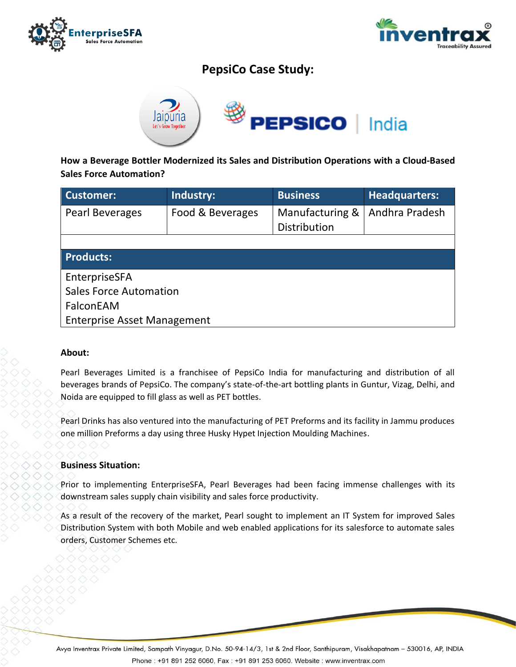



# **PepsiCo Case Study:**



**How a Beverage Bottler Modernized its Sales and Distribution Operations with a Cloud-Based Sales Force Automation?**

| Customer:                          | Industry:        | <b>Business</b> | Headquarters:  |
|------------------------------------|------------------|-----------------|----------------|
| <b>Pearl Beverages</b>             | Food & Beverages | Manufacturing & | Andhra Pradesh |
|                                    |                  | Distribution    |                |
|                                    |                  |                 |                |
| <b>Products:</b>                   |                  |                 |                |
| EnterpriseSFA                      |                  |                 |                |
| <b>Sales Force Automation</b>      |                  |                 |                |
| FalconEAM                          |                  |                 |                |
| <b>Enterprise Asset Management</b> |                  |                 |                |

## **About:**

Pearl Beverages Limited is a franchisee of PepsiCo India for manufacturing and distribution of all beverages brands of PepsiCo. The company's state-of-the-art bottling plants in Guntur, Vizag, Delhi, and Noida are equipped to fill glass as well as PET bottles.

Pearl Drinks has also ventured into the manufacturing of PET Preforms and its facility in Jammu produces one million Preforms a day using three Husky Hypet Injection Moulding Machines.

#### **Business Situation:**

Prior to implementing EnterpriseSFA, Pearl Beverages had been facing immense challenges with its downstream sales supply chain visibility and sales force productivity.

As a result of the recovery of the market, Pearl sought to implement an IT System for improved Sales Distribution System with both Mobile and web enabled applications for its salesforce to automate sales orders, Customer Schemes etc.

Avya Inventrax Private Limited, Sampath Vinyagur, D.No. 50-94-14/3, 1st & 2nd Floor, Santhipuram, Visakhapatnam - 530016, AP, INDIA Phone: +91 891 252 6060, Fax: +91 891 253 6060. Website: www.inventrax.com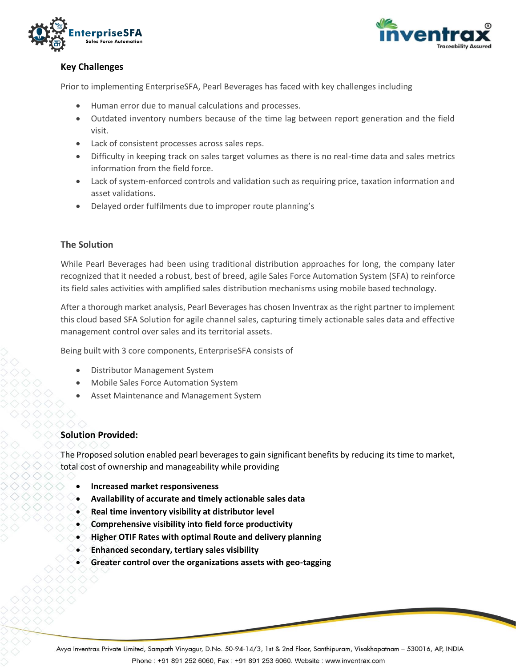



# **Key Challenges**

Prior to implementing EnterpriseSFA, Pearl Beverages has faced with key challenges including

- Human error due to manual calculations and processes.
- Outdated inventory numbers because of the time lag between report generation and the field visit.
- Lack of consistent processes across sales reps.
- Difficulty in keeping track on sales target volumes as there is no real-time data and sales metrics information from the field force.
- Lack of system-enforced controls and validation such as requiring price, taxation information and asset validations.
- Delayed order fulfilments due to improper route planning's

#### **The Solution**

While Pearl Beverages had been using traditional distribution approaches for long, the company later recognized that it needed a robust, best of breed, agile Sales Force Automation System (SFA) to reinforce its field sales activities with amplified sales distribution mechanisms using mobile based technology.

After a thorough market analysis, Pearl Beverages has chosen Inventrax as the right partner to implement this cloud based SFA Solution for agile channel sales, capturing timely actionable sales data and effective management control over sales and its territorial assets.

Being built with 3 core components, EnterpriseSFA consists of

- Distributor Management System
- Mobile Sales Force Automation System
- Asset Maintenance and Management System

## **Solution Provided:**

The Proposed solution enabled pearl beverages to gain significant benefits by reducing its time to market, total cost of ownership and manageability while providing

- **Increased market responsiveness**
- **Availability of accurate and timely actionable sales data**
- **Real time inventory visibility at distributor level**
- **Comprehensive visibility into field force productivity**
- **Higher OTIF Rates with optimal Route and delivery planning**
- **Enhanced secondary, tertiary sales visibility**
- **Greater control over the organizations assets with geo-tagging**

Avya Inventrax Private Limited, Sampath Vinyagur, D.No. 50-94-14/3, 1st & 2nd Floor, Santhipuram, Visakhapatnam - 530016, AP, INDIA Phone: +91 891 252 6060, Fax: +91 891 253 6060. Website: www.inventrax.com